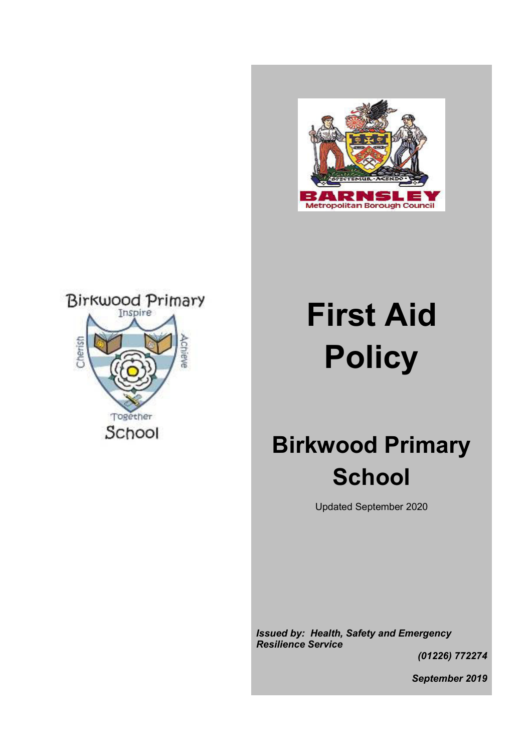



# **First Aid Policy**

## **Birkwood Primary School**

Updated September 2020

*Issued by: Health, Safety and Emergency Resilience Service* 

*(01226) 772274* 

*September 2019*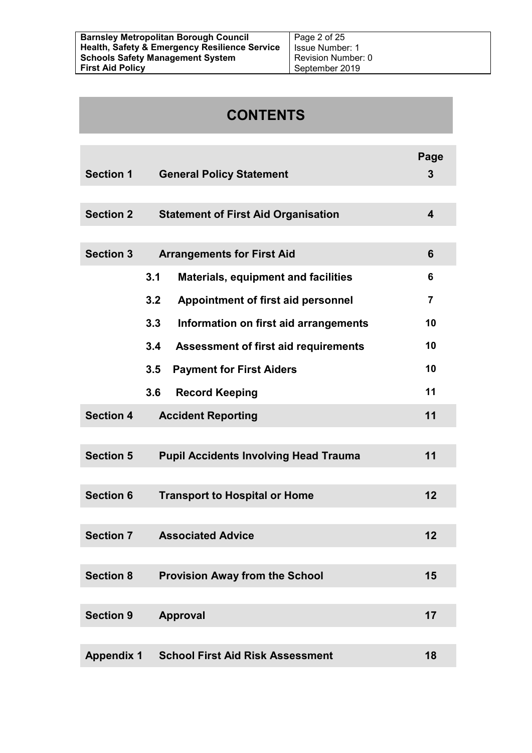| <b>Barnsley Metropolitan Borough Council</b>             | Page 2 of 25       |
|----------------------------------------------------------|--------------------|
| <b>Health, Safety &amp; Emergency Resilience Service</b> | Issue Number: 1    |
| <b>Schools Safety Management System</b>                  | Revision Number: 0 |
| <b>First Aid Policy</b>                                  | September 2019     |

## **CONTENTS**

| <b>Section 1</b>  | <b>General Policy Statement</b>                    | Page<br>3 |
|-------------------|----------------------------------------------------|-----------|
|                   |                                                    |           |
| <b>Section 2</b>  | <b>Statement of First Aid Organisation</b>         | 4         |
|                   |                                                    |           |
| <b>Section 3</b>  | <b>Arrangements for First Aid</b>                  | 6         |
|                   | 3.1<br><b>Materials, equipment and facilities</b>  | 6         |
|                   | 3.2<br>Appointment of first aid personnel          | 7         |
|                   | 3.3<br>Information on first aid arrangements       | 10        |
|                   | 3.4<br><b>Assessment of first aid requirements</b> | 10        |
|                   | 3.5<br><b>Payment for First Aiders</b>             | 10        |
|                   | 3.6<br><b>Record Keeping</b>                       | 11        |
| <b>Section 4</b>  | <b>Accident Reporting</b>                          | 11        |
|                   |                                                    |           |
| <b>Section 5</b>  | <b>Pupil Accidents Involving Head Trauma</b>       | 11        |
|                   |                                                    |           |
| <b>Section 6</b>  | <b>Transport to Hospital or Home</b>               | 12        |
| <b>Section 7</b>  | <b>Associated Advice</b>                           | 12        |
|                   |                                                    |           |
| <b>Section 8</b>  | <b>Provision Away from the School</b>              | 15        |
|                   |                                                    |           |
| <b>Section 9</b>  | <b>Approval</b>                                    | 17        |
|                   |                                                    |           |
| <b>Appendix 1</b> | <b>School First Aid Risk Assessment</b>            | 18        |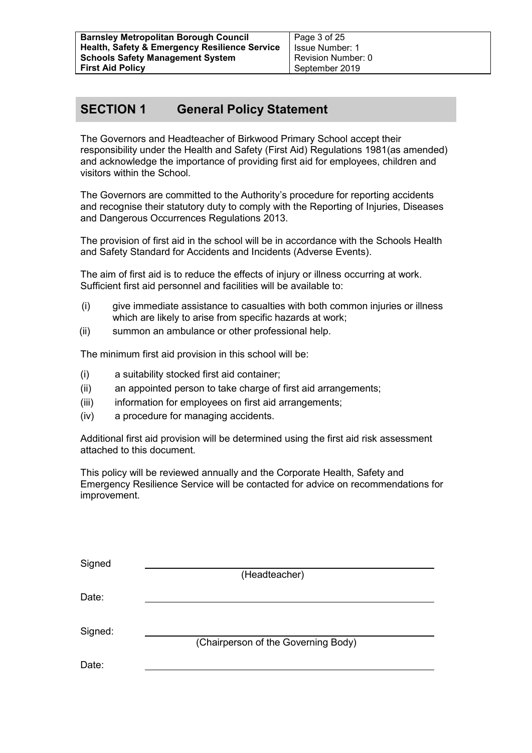Page 3 of 25 Issue Number: 1 Revision Number: 0 September 2019

## **SECTION 1 General Policy Statement**

The Governors and Headteacher of Birkwood Primary School accept their responsibility under the Health and Safety (First Aid) Regulations 1981(as amended) and acknowledge the importance of providing first aid for employees, children and visitors within the School.

The Governors are committed to the Authority's procedure for reporting accidents and recognise their statutory duty to comply with the Reporting of Injuries, Diseases and Dangerous Occurrences Regulations 2013.

The provision of first aid in the school will be in accordance with the Schools Health and Safety Standard for Accidents and Incidents (Adverse Events).

The aim of first aid is to reduce the effects of injury or illness occurring at work. Sufficient first aid personnel and facilities will be available to:

- (i) give immediate assistance to casualties with both common injuries or illness which are likely to arise from specific hazards at work;
- (ii) summon an ambulance or other professional help.

The minimum first aid provision in this school will be:

- (i) a suitability stocked first aid container;
- (ii) an appointed person to take charge of first aid arrangements;
- (iii) information for employees on first aid arrangements;
- (iv) a procedure for managing accidents.

Additional first aid provision will be determined using the first aid risk assessment attached to this document.

This policy will be reviewed annually and the Corporate Health, Safety and Emergency Resilience Service will be contacted for advice on recommendations for improvement.

| Signed  |                                     |
|---------|-------------------------------------|
|         | (Headteacher)                       |
| Date:   |                                     |
| Signed: | (Chairperson of the Governing Body) |
| Date:   |                                     |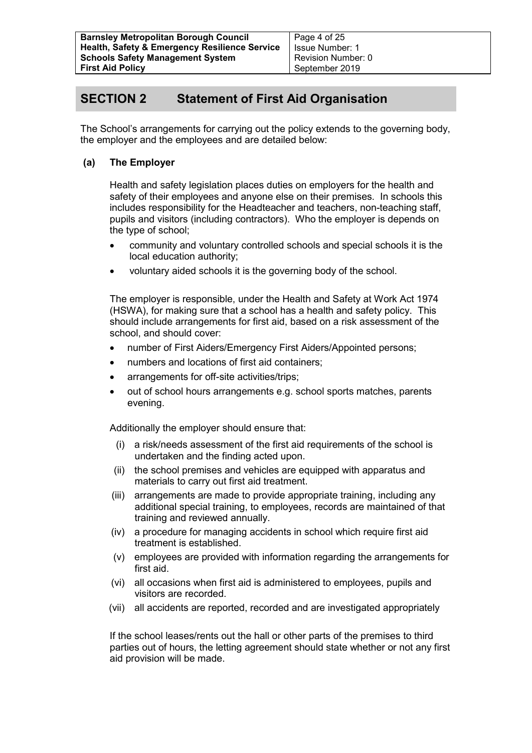## **SECTION 2 Statement of First Aid Organisation**

The School's arrangements for carrying out the policy extends to the governing body, the employer and the employees and are detailed below:

#### **(a) The Employer**

Health and safety legislation places duties on employers for the health and safety of their employees and anyone else on their premises. In schools this includes responsibility for the Headteacher and teachers, non-teaching staff, pupils and visitors (including contractors). Who the employer is depends on the type of school;

- community and voluntary controlled schools and special schools it is the local education authority;
- voluntary aided schools it is the governing body of the school.

The employer is responsible, under the Health and Safety at Work Act 1974 (HSWA), for making sure that a school has a health and safety policy. This should include arrangements for first aid, based on a risk assessment of the school, and should cover:

- number of First Aiders/Emergency First Aiders/Appointed persons;
- numbers and locations of first aid containers;
- arrangements for off-site activities/trips;
- out of school hours arrangements e.g. school sports matches, parents evening.

Additionally the employer should ensure that:

- (i) a risk/needs assessment of the first aid requirements of the school is undertaken and the finding acted upon.
- (ii) the school premises and vehicles are equipped with apparatus and materials to carry out first aid treatment.
- (iii) arrangements are made to provide appropriate training, including any additional special training, to employees, records are maintained of that training and reviewed annually.
- (iv) a procedure for managing accidents in school which require first aid treatment is established.
- (v) employees are provided with information regarding the arrangements for first aid.
- (vi) all occasions when first aid is administered to employees, pupils and visitors are recorded.
- (vii) all accidents are reported, recorded and are investigated appropriately

If the school leases/rents out the hall or other parts of the premises to third parties out of hours, the letting agreement should state whether or not any first aid provision will be made.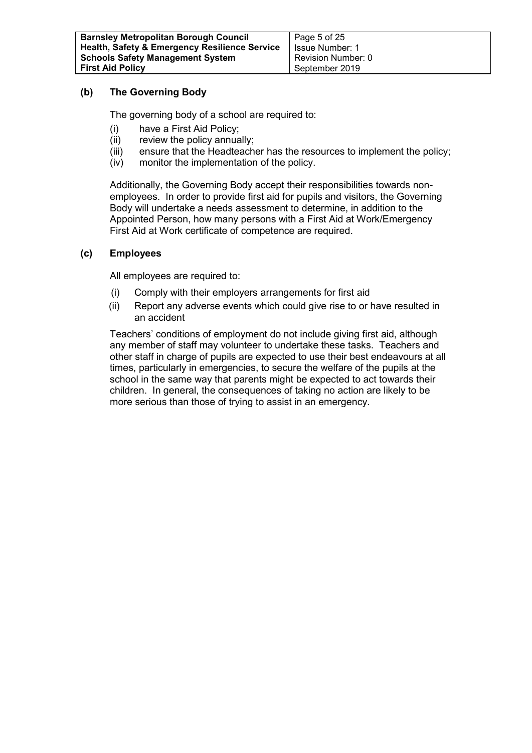#### **(b) The Governing Body**

The governing body of a school are required to:

- (i) have a First Aid Policy;
- (ii) review the policy annually;
- (iii) ensure that the Headteacher has the resources to implement the policy;
- (iv) monitor the implementation of the policy.

Additionally, the Governing Body accept their responsibilities towards nonemployees. In order to provide first aid for pupils and visitors, the Governing Body will undertake a needs assessment to determine, in addition to the Appointed Person, how many persons with a First Aid at Work/Emergency First Aid at Work certificate of competence are required.

#### **(c) Employees**

All employees are required to:

- (i) Comply with their employers arrangements for first aid
- (ii) Report any adverse events which could give rise to or have resulted in an accident

Teachers' conditions of employment do not include giving first aid, although any member of staff may volunteer to undertake these tasks. Teachers and other staff in charge of pupils are expected to use their best endeavours at all times, particularly in emergencies, to secure the welfare of the pupils at the school in the same way that parents might be expected to act towards their children. In general, the consequences of taking no action are likely to be more serious than those of trying to assist in an emergency.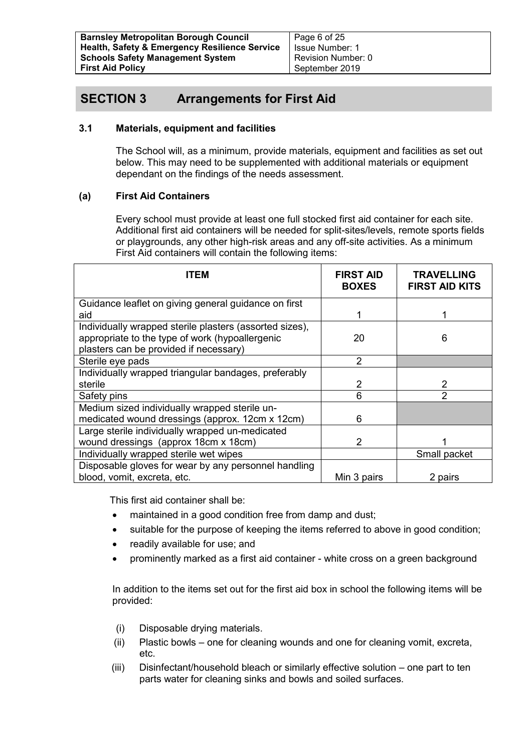### **SECTION 3 Arrangements for First Aid**

#### **3.1 Materials, equipment and facilities**

The School will, as a minimum, provide materials, equipment and facilities as set out below. This may need to be supplemented with additional materials or equipment dependant on the findings of the needs assessment.

#### **(a) First Aid Containers**

Every school must provide at least one full stocked first aid container for each site. Additional first aid containers will be needed for split-sites/levels, remote sports fields or playgrounds, any other high-risk areas and any off-site activities. As a minimum First Aid containers will contain the following items:

| ITEM                                                                                                                                                 | <b>FIRST AID</b><br><b>BOXES</b> | <b>TRAVELLING</b><br><b>FIRST AID KITS</b> |
|------------------------------------------------------------------------------------------------------------------------------------------------------|----------------------------------|--------------------------------------------|
| Guidance leaflet on giving general guidance on first<br>aid                                                                                          |                                  |                                            |
| Individually wrapped sterile plasters (assorted sizes),<br>appropriate to the type of work (hypoallergenic<br>plasters can be provided if necessary) | 20                               | 6                                          |
| Sterile eye pads                                                                                                                                     | $\overline{2}$                   |                                            |
| Individually wrapped triangular bandages, preferably                                                                                                 |                                  |                                            |
| sterile                                                                                                                                              | 2                                | 2                                          |
| Safety pins                                                                                                                                          | 6                                | 2                                          |
| Medium sized individually wrapped sterile un-                                                                                                        |                                  |                                            |
| medicated wound dressings (approx. 12cm x 12cm)                                                                                                      | 6                                |                                            |
| Large sterile individually wrapped un-medicated                                                                                                      |                                  |                                            |
| wound dressings (approx 18cm x 18cm)                                                                                                                 | $\overline{2}$                   |                                            |
| Individually wrapped sterile wet wipes                                                                                                               |                                  | Small packet                               |
| Disposable gloves for wear by any personnel handling                                                                                                 |                                  |                                            |
| blood, vomit, excreta, etc.                                                                                                                          | Min 3 pairs                      | 2 pairs                                    |

This first aid container shall be:

- maintained in a good condition free from damp and dust;
- suitable for the purpose of keeping the items referred to above in good condition;
- readily available for use; and
- prominently marked as a first aid container white cross on a green background

In addition to the items set out for the first aid box in school the following items will be provided:

- (i) Disposable drying materials.
- (ii) Plastic bowls one for cleaning wounds and one for cleaning vomit, excreta, etc.
- (iii) Disinfectant/household bleach or similarly effective solution one part to ten parts water for cleaning sinks and bowls and soiled surfaces.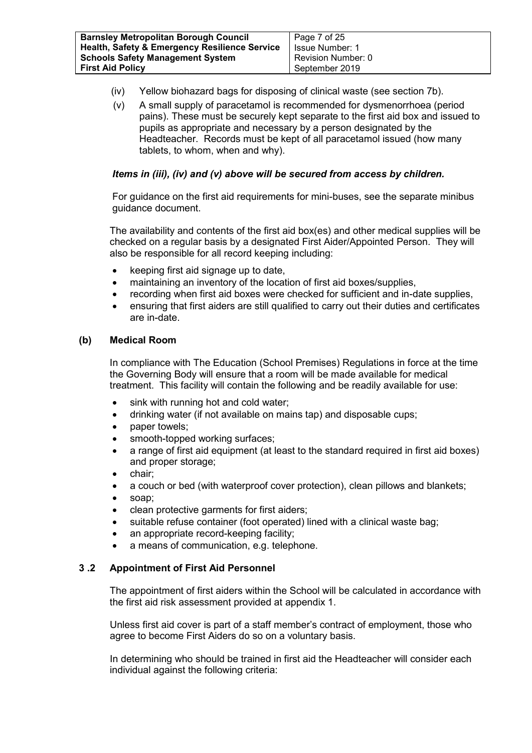| <b>Barnsley Metropolitan Borough Council</b>             | Page 7 of 25       |
|----------------------------------------------------------|--------------------|
| <b>Health, Safety &amp; Emergency Resilience Service</b> | Issue Number: 1    |
| <b>Schools Safety Management System</b>                  | Revision Number: 0 |
| <b>First Aid Policy</b>                                  | September 2019     |

- (iv) Yellow biohazard bags for disposing of clinical waste (see section 7b).
- (v) A small supply of paracetamol is recommended for dysmenorrhoea (period pains). These must be securely kept separate to the first aid box and issued to pupils as appropriate and necessary by a person designated by the Headteacher. Records must be kept of all paracetamol issued (how many tablets, to whom, when and why).

#### *Items in (iii), (iv) and (v) above will be secured from access by children.*

For guidance on the first aid requirements for mini-buses, see the separate minibus guidance document.

The availability and contents of the first aid box(es) and other medical supplies will be checked on a regular basis by a designated First Aider/Appointed Person. They will also be responsible for all record keeping including:

- keeping first aid signage up to date,
- maintaining an inventory of the location of first aid boxes/supplies,
- recording when first aid boxes were checked for sufficient and in-date supplies,
- ensuring that first aiders are still qualified to carry out their duties and certificates are in-date.

#### **(b) Medical Room**

In compliance with The Education (School Premises) Regulations in force at the time the Governing Body will ensure that a room will be made available for medical treatment. This facility will contain the following and be readily available for use:

- sink with running hot and cold water;
- drinking water (if not available on mains tap) and disposable cups;
- paper towels;
- smooth-topped working surfaces;
- a range of first aid equipment (at least to the standard required in first aid boxes) and proper storage;
- chair;
- a couch or bed (with waterproof cover protection), clean pillows and blankets;
- soap:
- clean protective garments for first aiders;
- suitable refuse container (foot operated) lined with a clinical waste bag;
- an appropriate record-keeping facility;
- a means of communication, e.g. telephone.

#### **3 .2 Appointment of First Aid Personnel**

The appointment of first aiders within the School will be calculated in accordance with the first aid risk assessment provided at appendix 1.

Unless first aid cover is part of a staff member's contract of employment, those who agree to become First Aiders do so on a voluntary basis.

In determining who should be trained in first aid the Headteacher will consider each individual against the following criteria: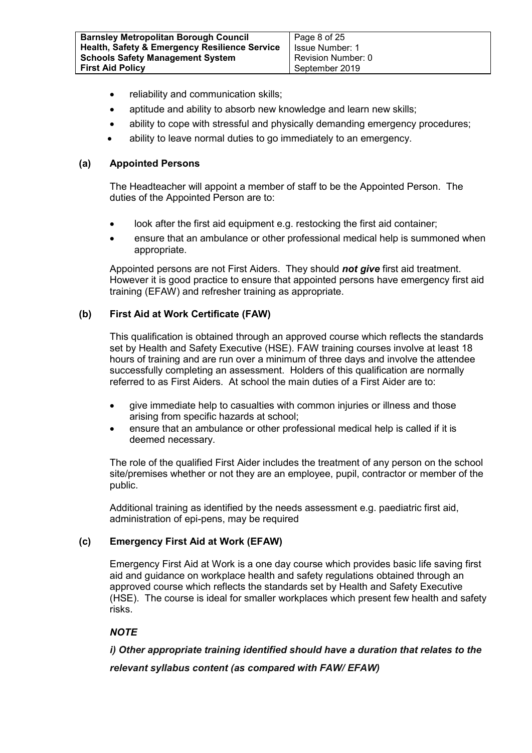| <b>Barnsley Metropolitan Borough Council</b>             | Page 8 of 25       |
|----------------------------------------------------------|--------------------|
| <b>Health, Safety &amp; Emergency Resilience Service</b> | Issue Number: 1    |
| <b>Schools Safety Management System</b>                  | Revision Number: 0 |
| <b>First Aid Policy</b>                                  | September 2019     |

- reliability and communication skills;
- aptitude and ability to absorb new knowledge and learn new skills;
- ability to cope with stressful and physically demanding emergency procedures;
- ability to leave normal duties to go immediately to an emergency.

#### **(a) Appointed Persons**

The Headteacher will appoint a member of staff to be the Appointed Person. The duties of the Appointed Person are to:

- look after the first aid equipment e.g. restocking the first aid container;
- ensure that an ambulance or other professional medical help is summoned when appropriate.

Appointed persons are not First Aiders. They should *not give* first aid treatment. However it is good practice to ensure that appointed persons have emergency first aid training (EFAW) and refresher training as appropriate.

#### **(b) First Aid at Work Certificate (FAW)**

This qualification is obtained through an approved course which reflects the standards set by Health and Safety Executive (HSE). FAW training courses involve at least 18 hours of training and are run over a minimum of three days and involve the attendee successfully completing an assessment. Holders of this qualification are normally referred to as First Aiders. At school the main duties of a First Aider are to:

- give immediate help to casualties with common injuries or illness and those arising from specific hazards at school;
- ensure that an ambulance or other professional medical help is called if it is deemed necessary.

The role of the qualified First Aider includes the treatment of any person on the school site/premises whether or not they are an employee, pupil, contractor or member of the public.

Additional training as identified by the needs assessment e.g. paediatric first aid, administration of epi-pens, may be required

#### **(c) Emergency First Aid at Work (EFAW)**

Emergency First Aid at Work is a one day course which provides basic life saving first aid and guidance on workplace health and safety regulations obtained through an approved course which reflects the standards set by Health and Safety Executive (HSE). The course is ideal for smaller workplaces which present few health and safety risks.

#### *NOTE*

*i) Other appropriate training identified should have a duration that relates to the*

*relevant syllabus content (as compared with FAW/ EFAW)*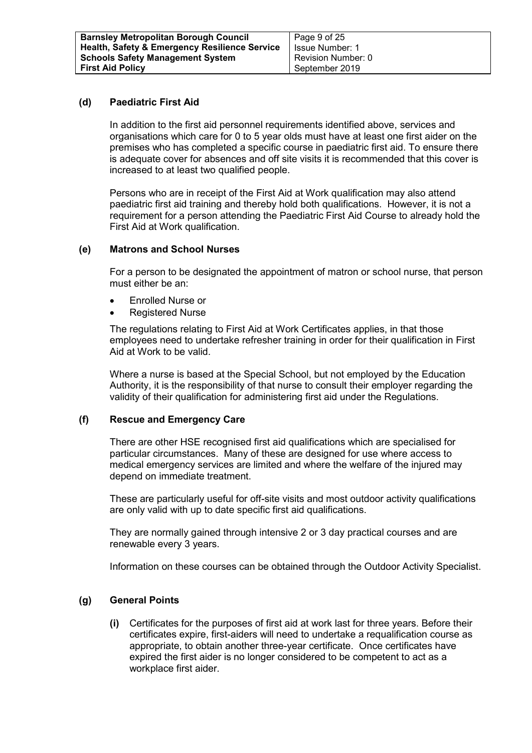#### **(d) Paediatric First Aid**

In addition to the first aid personnel requirements identified above, services and organisations which care for 0 to 5 year olds must have at least one first aider on the premises who has completed a specific course in paediatric first aid. To ensure there is adequate cover for absences and off site visits it is recommended that this cover is increased to at least two qualified people.

Persons who are in receipt of the First Aid at Work qualification may also attend paediatric first aid training and thereby hold both qualifications. However, it is not a requirement for a person attending the Paediatric First Aid Course to already hold the First Aid at Work qualification.

#### **(e) Matrons and School Nurses**

For a person to be designated the appointment of matron or school nurse, that person must either be an:

- Enrolled Nurse or
- Registered Nurse

The regulations relating to First Aid at Work Certificates applies, in that those employees need to undertake refresher training in order for their qualification in First Aid at Work to be valid.

Where a nurse is based at the Special School, but not employed by the Education Authority, it is the responsibility of that nurse to consult their employer regarding the validity of their qualification for administering first aid under the Regulations.

#### **(f) Rescue and Emergency Care**

There are other HSE recognised first aid qualifications which are specialised for particular circumstances. Many of these are designed for use where access to medical emergency services are limited and where the welfare of the injured may depend on immediate treatment.

These are particularly useful for off-site visits and most outdoor activity qualifications are only valid with up to date specific first aid qualifications.

They are normally gained through intensive 2 or 3 day practical courses and are renewable every 3 years.

Information on these courses can be obtained through the Outdoor Activity Specialist.

#### **(g) General Points**

**(i)** Certificates for the purposes of first aid at work last for three years. Before their certificates expire, first-aiders will need to undertake a requalification course as appropriate, to obtain another three-year certificate. Once certificates have expired the first aider is no longer considered to be competent to act as a workplace first aider*.*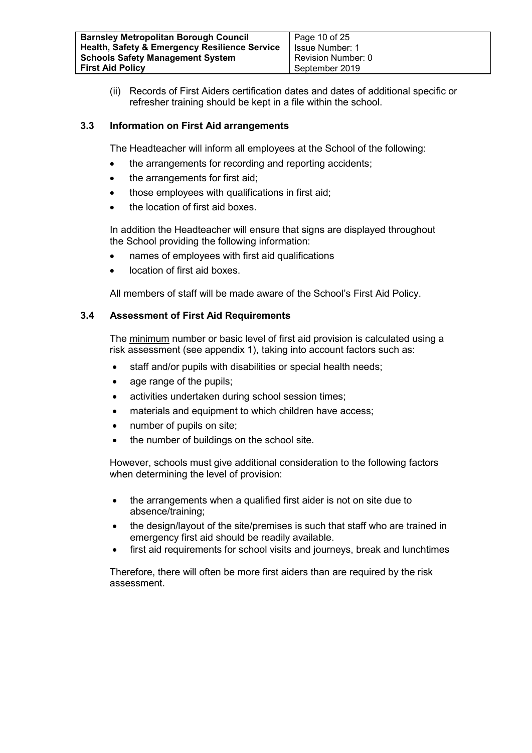| <b>Barnsley Metropolitan Borough Council</b>             | Page 10 of 25      |
|----------------------------------------------------------|--------------------|
| <b>Health, Safety &amp; Emergency Resilience Service</b> | Issue Number: 1    |
| <b>Schools Safety Management System</b>                  | Revision Number: 0 |
| <b>First Aid Policy</b>                                  | September 2019     |

(ii) Records of First Aiders certification dates and dates of additional specific or refresher training should be kept in a file within the school.

#### **3.3 Information on First Aid arrangements**

The Headteacher will inform all employees at the School of the following:

- the arrangements for recording and reporting accidents;
- the arrangements for first aid;
- those employees with qualifications in first aid;
- the location of first aid boxes.

In addition the Headteacher will ensure that signs are displayed throughout the School providing the following information:

- names of employees with first aid qualifications
- location of first aid boxes.

All members of staff will be made aware of the School's First Aid Policy.

#### **3.4 Assessment of First Aid Requirements**

The minimum number or basic level of first aid provision is calculated using a risk assessment (see appendix 1), taking into account factors such as:

- staff and/or pupils with disabilities or special health needs;
- age range of the pupils;
- activities undertaken during school session times;
- materials and equipment to which children have access;
- number of pupils on site;
- the number of buildings on the school site.

However, schools must give additional consideration to the following factors when determining the level of provision:

- the arrangements when a qualified first aider is not on site due to absence/training;
- the design/layout of the site/premises is such that staff who are trained in emergency first aid should be readily available.
- first aid requirements for school visits and journeys, break and lunchtimes

Therefore, there will often be more first aiders than are required by the risk assessment.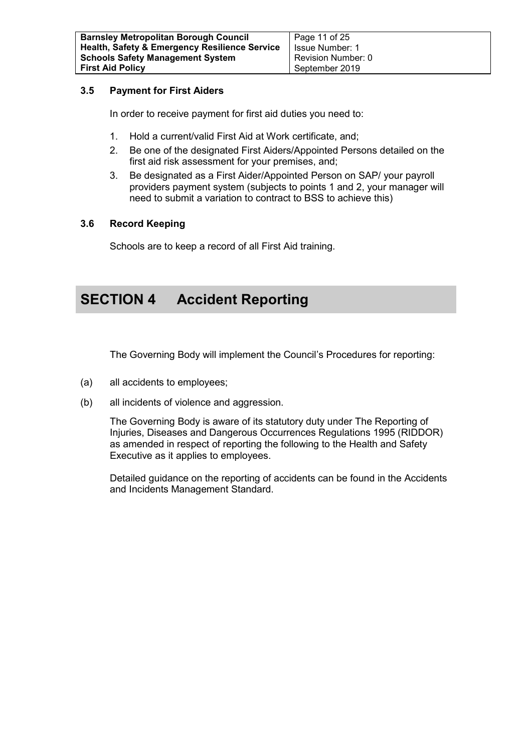#### **3.5 Payment for First Aiders**

In order to receive payment for first aid duties you need to:

- 1. Hold a current/valid First Aid at Work certificate, and;
- 2. Be one of the designated First Aiders/Appointed Persons detailed on the first aid risk assessment for your premises, and;
- 3. Be designated as a First Aider/Appointed Person on SAP/ your payroll providers payment system (subjects to points 1 and 2, your manager will need to submit a variation to contract to BSS to achieve this)

#### **3.6 Record Keeping**

Schools are to keep a record of all First Aid training.

## **SECTION 4 Accident Reporting**

The Governing Body will implement the Council's Procedures for reporting:

- (a) all accidents to employees;
- (b) all incidents of violence and aggression.

The Governing Body is aware of its statutory duty under The Reporting of Injuries, Diseases and Dangerous Occurrences Regulations 1995 (RIDDOR) as amended in respect of reporting the following to the Health and Safety Executive as it applies to employees.

Detailed guidance on the reporting of accidents can be found in the Accidents and Incidents Management Standard.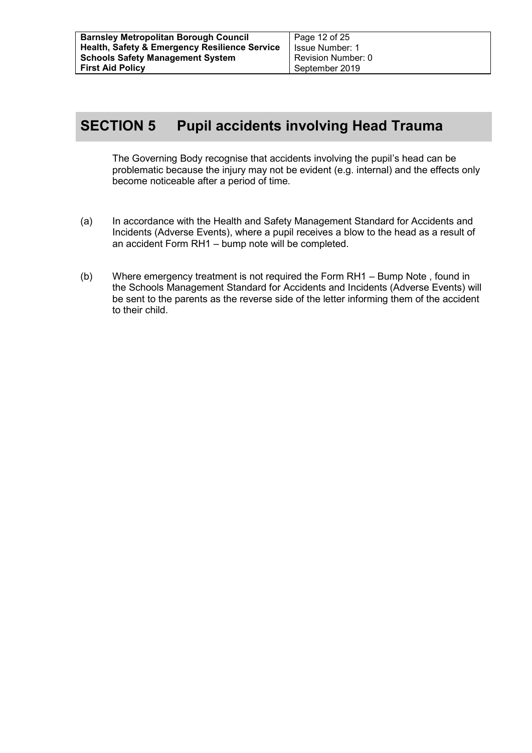## **SECTION 5 Pupil accidents involving Head Trauma**

The Governing Body recognise that accidents involving the pupil's head can be problematic because the injury may not be evident (e.g. internal) and the effects only become noticeable after a period of time.

- (a) In accordance with the Health and Safety Management Standard for Accidents and Incidents (Adverse Events), where a pupil receives a blow to the head as a result of an accident Form RH1 – bump note will be completed.
- (b) Where emergency treatment is not required the Form RH1 Bump Note , found in the Schools Management Standard for Accidents and Incidents (Adverse Events) will be sent to the parents as the reverse side of the letter informing them of the accident to their child.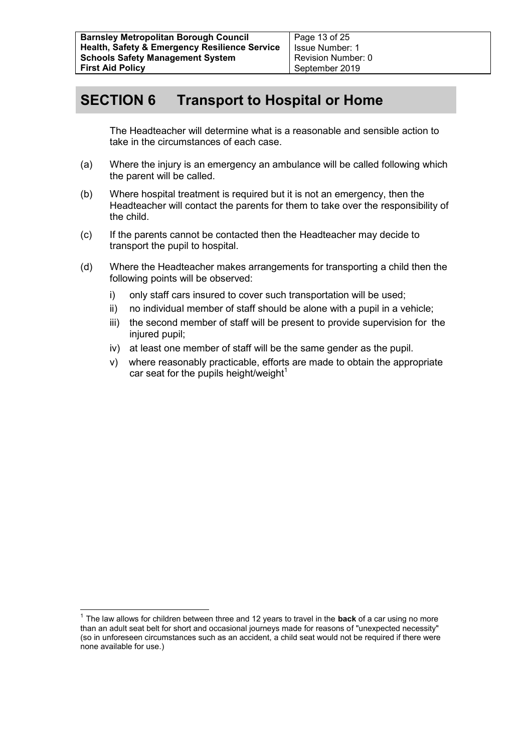## **SECTION 6 Transport to Hospital or Home**

The Headteacher will determine what is a reasonable and sensible action to take in the circumstances of each case.

- (a) Where the injury is an emergency an ambulance will be called following which the parent will be called.
- (b) Where hospital treatment is required but it is not an emergency, then the Headteacher will contact the parents for them to take over the responsibility of the child.
- (c) If the parents cannot be contacted then the Headteacher may decide to transport the pupil to hospital.
- (d) Where the Headteacher makes arrangements for transporting a child then the following points will be observed:
	- i) only staff cars insured to cover such transportation will be used;
	- ii) no individual member of staff should be alone with a pupil in a vehicle;
	- iii) the second member of staff will be present to provide supervision for the injured pupil:
	- iv) at least one member of staff will be the same gender as the pupil.
	- v) where reasonably practicable, efforts are made to obtain the appropriate car seat for the pupils height/weight $1$

 1 The law allows for children between three and 12 years to travel in the **back** of a car using no more than an adult seat belt for short and occasional journeys made for reasons of "unexpected necessity" (so in unforeseen circumstances such as an accident, a child seat would not be required if there were none available for use.)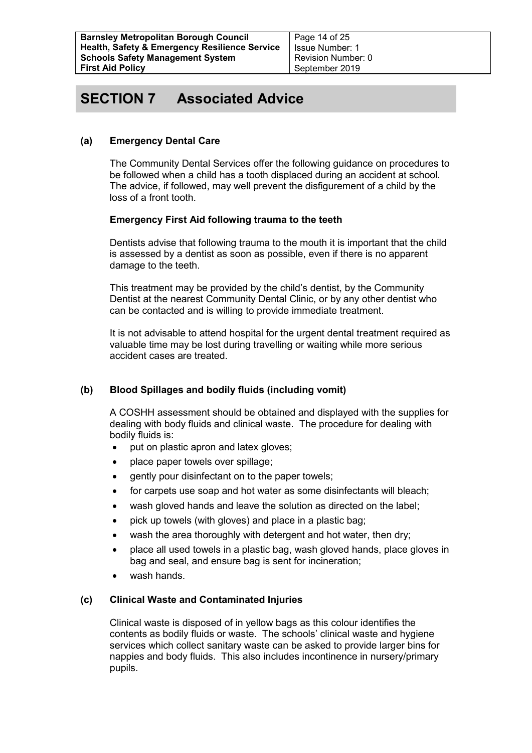Page 14 of 25 Issue Number: 1 Revision Number: 0 September 2019

## **SECTION 7 Associated Advice**

#### **(a) Emergency Dental Care**

The Community Dental Services offer the following guidance on procedures to be followed when a child has a tooth displaced during an accident at school. The advice, if followed, may well prevent the disfigurement of a child by the loss of a front tooth.

#### **Emergency First Aid following trauma to the teeth**

Dentists advise that following trauma to the mouth it is important that the child is assessed by a dentist as soon as possible, even if there is no apparent damage to the teeth.

This treatment may be provided by the child's dentist, by the Community Dentist at the nearest Community Dental Clinic, or by any other dentist who can be contacted and is willing to provide immediate treatment.

It is not advisable to attend hospital for the urgent dental treatment required as valuable time may be lost during travelling or waiting while more serious accident cases are treated.

#### **(b) Blood Spillages and bodily fluids (including vomit)**

A COSHH assessment should be obtained and displayed with the supplies for dealing with body fluids and clinical waste. The procedure for dealing with bodily fluids is:

- put on plastic apron and latex gloves;
- place paper towels over spillage;
- gently pour disinfectant on to the paper towels;
- for carpets use soap and hot water as some disinfectants will bleach;
- wash gloved hands and leave the solution as directed on the label;
- pick up towels (with gloves) and place in a plastic bag;
- wash the area thoroughly with detergent and hot water, then dry;
- place all used towels in a plastic bag, wash gloved hands, place gloves in bag and seal, and ensure bag is sent for incineration;
- wash hands.

#### **(c) Clinical Waste and Contaminated Injuries**

Clinical waste is disposed of in yellow bags as this colour identifies the contents as bodily fluids or waste. The schools' clinical waste and hygiene services which collect sanitary waste can be asked to provide larger bins for nappies and body fluids. This also includes incontinence in nursery/primary pupils.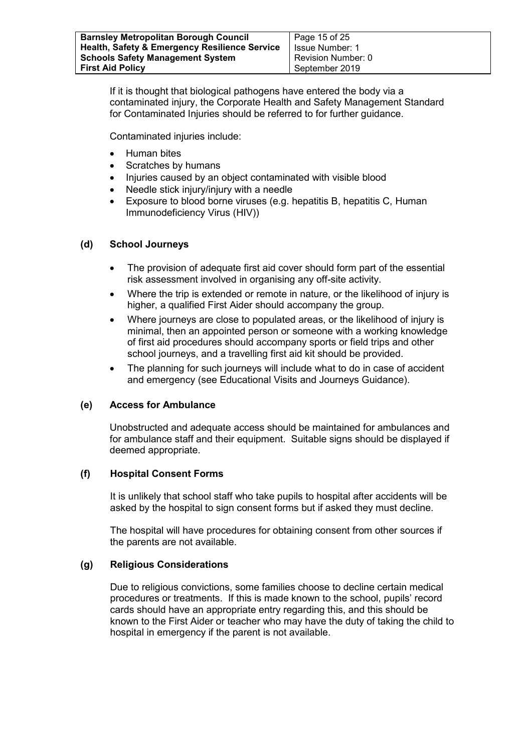| <b>Barnsley Metropolitan Borough Council</b>             | Page 15 of 25      |
|----------------------------------------------------------|--------------------|
| <b>Health, Safety &amp; Emergency Resilience Service</b> | Issue Number: 1    |
| <b>Schools Safety Management System</b>                  | Revision Number: 0 |
| <b>First Aid Policy</b>                                  | September 2019     |

If it is thought that biological pathogens have entered the body via a contaminated injury, the Corporate Health and Safety Management Standard for Contaminated Injuries should be referred to for further guidance.

Contaminated injuries include:

- Human bites
- Scratches by humans
- Injuries caused by an object contaminated with visible blood
- Needle stick injury/injury with a needle
- Exposure to blood borne viruses (e.g. hepatitis B, hepatitis C, Human Immunodeficiency Virus (HIV))

#### **(d) School Journeys**

- The provision of adequate first aid cover should form part of the essential risk assessment involved in organising any off-site activity.
- Where the trip is extended or remote in nature, or the likelihood of injury is higher, a qualified First Aider should accompany the group.
- Where journeys are close to populated areas, or the likelihood of injury is minimal, then an appointed person or someone with a working knowledge of first aid procedures should accompany sports or field trips and other school journeys, and a travelling first aid kit should be provided.
- The planning for such journeys will include what to do in case of accident and emergency (see Educational Visits and Journeys Guidance).

#### **(e) Access for Ambulance**

Unobstructed and adequate access should be maintained for ambulances and for ambulance staff and their equipment. Suitable signs should be displayed if deemed appropriate.

#### **(f) Hospital Consent Forms**

It is unlikely that school staff who take pupils to hospital after accidents will be asked by the hospital to sign consent forms but if asked they must decline.

The hospital will have procedures for obtaining consent from other sources if the parents are not available.

#### **(g) Religious Considerations**

Due to religious convictions, some families choose to decline certain medical procedures or treatments. If this is made known to the school, pupils' record cards should have an appropriate entry regarding this, and this should be known to the First Aider or teacher who may have the duty of taking the child to hospital in emergency if the parent is not available.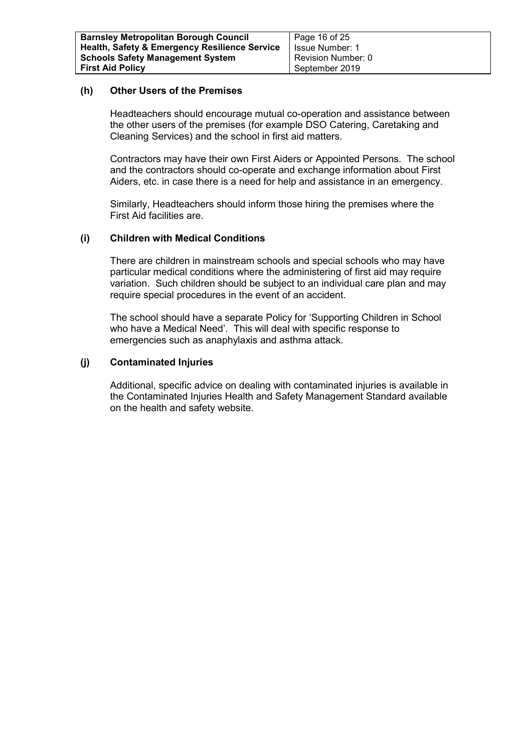#### **(h) Other Users of the Premises**

Headteachers should encourage mutual co-operation and assistance between the other users of the premises (for example DSO Catering, Caretaking and Cleaning Services) and the school in first aid matters.

Contractors may have their own First Aiders or Appointed Persons. The school and the contractors should co-operate and exchange information about First Aiders, etc. in case there is a need for help and assistance in an emergency.

Similarly, Headteachers should inform those hiring the premises where the First Aid facilities are.

#### **(i) Children with Medical Conditions**

There are children in mainstream schools and special schools who may have particular medical conditions where the administering of first aid may require variation. Such children should be subject to an individual care plan and may require special procedures in the event of an accident.

The school should have a separate Policy for 'Supporting Children in School who have a Medical Need'. This will deal with specific response to emergencies such as anaphylaxis and asthma attack.

#### **(j) Contaminated Injuries**

Additional, specific advice on dealing with contaminated injuries is available in the [Contaminated Injuries Health and Safety Management Standard](http://test-intranet/intradoc/groups/public/documents/actioncirculars/contaminated_injuries.rtf) available on the health and safety website.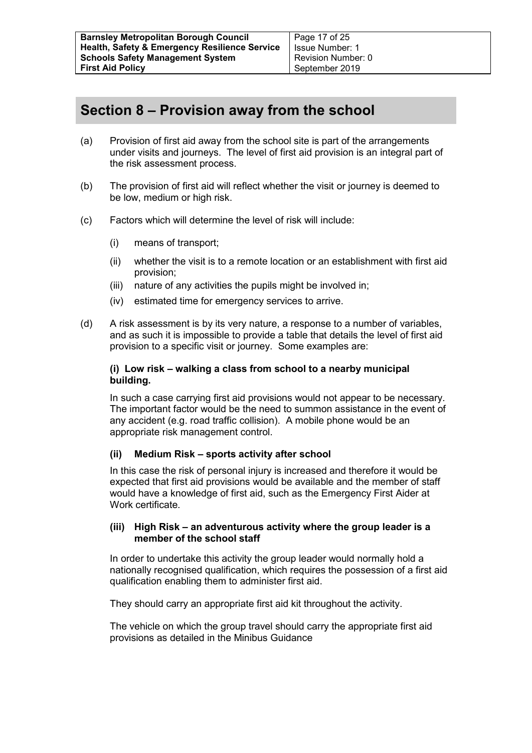## **Section 8 – Provision away from the school**

- (a) Provision of first aid away from the school site is part of the arrangements under visits and journeys. The level of first aid provision is an integral part of the risk assessment process.
- (b) The provision of first aid will reflect whether the visit or journey is deemed to be low, medium or high risk.
- (c) Factors which will determine the level of risk will include:
	- (i) means of transport;
	- (ii) whether the visit is to a remote location or an establishment with first aid provision;
	- (iii) nature of any activities the pupils might be involved in;
	- (iv) estimated time for emergency services to arrive.
- (d) A risk assessment is by its very nature, a response to a number of variables, and as such it is impossible to provide a table that details the level of first aid provision to a specific visit or journey. Some examples are:

#### **(i) Low risk – walking a class from school to a nearby municipal building.**

In such a case carrying first aid provisions would not appear to be necessary. The important factor would be the need to summon assistance in the event of any accident (e.g. road traffic collision). A mobile phone would be an appropriate risk management control.

#### **(ii) Medium Risk – sports activity after school**

In this case the risk of personal injury is increased and therefore it would be expected that first aid provisions would be available and the member of staff would have a knowledge of first aid, such as the Emergency First Aider at Work certificate.

#### **(iii) High Risk – an adventurous activity where the group leader is a member of the school staff**

In order to undertake this activity the group leader would normally hold a nationally recognised qualification, which requires the possession of a first aid qualification enabling them to administer first aid.

They should carry an appropriate first aid kit throughout the activity.

The vehicle on which the group travel should carry the appropriate first aid provisions as detailed in the Minibus Guidance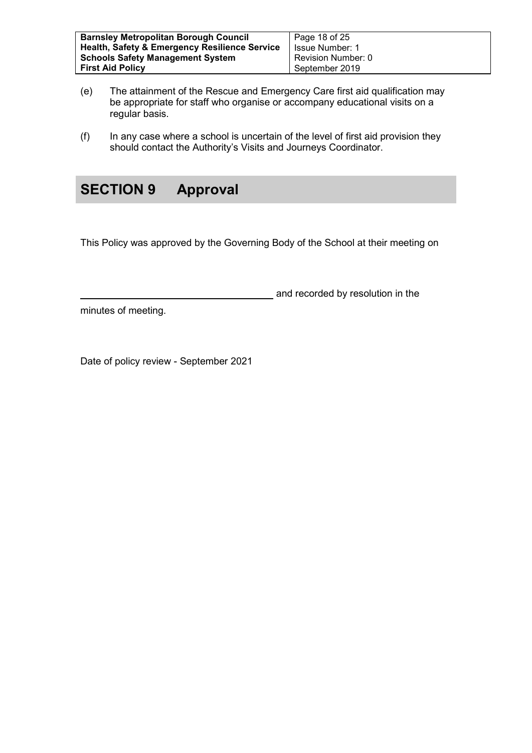| <b>Barnsley Metropolitan Borough Council</b>             | Page 18 of 25      |
|----------------------------------------------------------|--------------------|
| <b>Health, Safety &amp; Emergency Resilience Service</b> | Issue Number: 1    |
| <b>Schools Safety Management System</b>                  | Revision Number: 0 |
| <b>First Aid Policy</b>                                  | September 2019     |

- (e) The attainment of the Rescue and Emergency Care first aid qualification may be appropriate for staff who organise or accompany educational visits on a regular basis.
- (f) In any case where a school is uncertain of the level of first aid provision they should contact the Authority's Visits and Journeys Coordinator.

## **SECTION 9 Approval**

This Policy was approved by the Governing Body of the School at their meeting on

and recorded by resolution in the

minutes of meeting.

Date of policy review - September 2021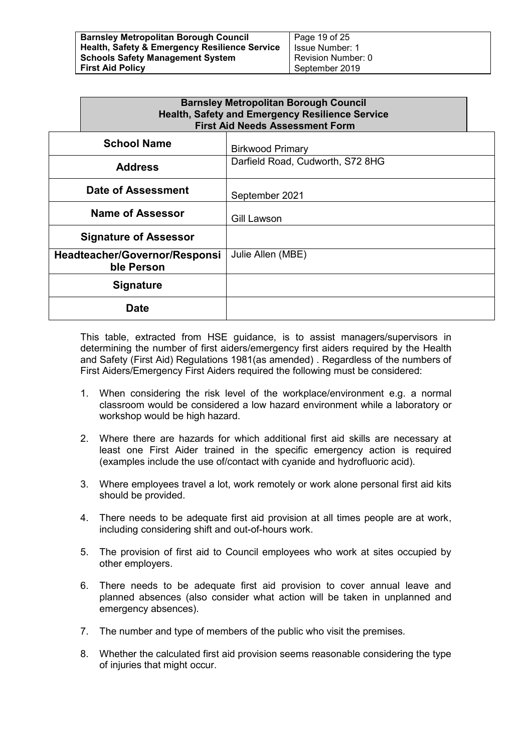| <b>Barnsley Metropolitan Borough Council</b>             | Page 19 of 25      |
|----------------------------------------------------------|--------------------|
| <b>Health, Safety &amp; Emergency Resilience Service</b> | Issue Number: 1    |
| <b>Schools Safety Management System</b>                  | Revision Number: 0 |
| <b>First Aid Policy</b>                                  | September 2019     |

| <b>Barnsley Metropolitan Borough Council</b><br><b>Health, Safety and Emergency Resilience Service</b><br><b>First Aid Needs Assessment Form</b> |                                  |  |
|--------------------------------------------------------------------------------------------------------------------------------------------------|----------------------------------|--|
| <b>School Name</b>                                                                                                                               | <b>Birkwood Primary</b>          |  |
| <b>Address</b>                                                                                                                                   | Darfield Road, Cudworth, S72 8HG |  |
| Date of Assessment                                                                                                                               | September 2021                   |  |
| <b>Name of Assessor</b>                                                                                                                          | <b>Gill Lawson</b>               |  |
| <b>Signature of Assessor</b>                                                                                                                     |                                  |  |
| Headteacher/Governor/Responsi<br>ble Person                                                                                                      | Julie Allen (MBE)                |  |
| <b>Signature</b>                                                                                                                                 |                                  |  |
| <b>Date</b>                                                                                                                                      |                                  |  |

This table, extracted from HSE guidance, is to assist managers/supervisors in determining the number of first aiders/emergency first aiders required by the Health and Safety (First Aid) Regulations 1981(as amended) . Regardless of the numbers of First Aiders/Emergency First Aiders required the following must be considered:

- 1. When considering the risk level of the workplace/environment e.g. a normal classroom would be considered a low hazard environment while a laboratory or workshop would be high hazard.
- 2. Where there are hazards for which additional first aid skills are necessary at least one First Aider trained in the specific emergency action is required (examples include the use of/contact with cyanide and hydrofluoric acid).
- 3. Where employees travel a lot, work remotely or work alone personal first aid kits should be provided.
- 4. There needs to be adequate first aid provision at all times people are at work, including considering shift and out-of-hours work.
- 5. The provision of first aid to Council employees who work at sites occupied by other employers.
- 6. There needs to be adequate first aid provision to cover annual leave and planned absences (also consider what action will be taken in unplanned and emergency absences).
- 7. The number and type of members of the public who visit the premises.
- 8. Whether the calculated first aid provision seems reasonable considering the type of injuries that might occur.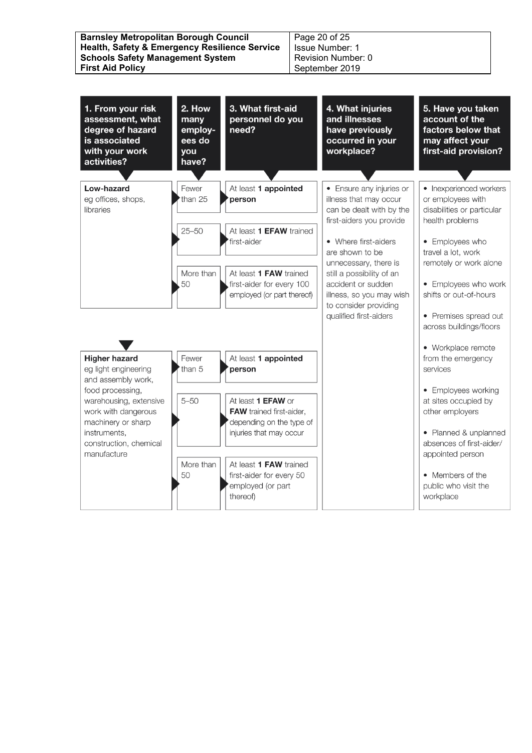| <b>Barnsley Metropolitan Borough Council</b><br><b>Health, Safety &amp; Emergency Resilience Service</b> | Page 20 of 25<br>Issue Number: 1 |
|----------------------------------------------------------------------------------------------------------|----------------------------------|
| <b>Schools Safety Management System</b>                                                                  | Revision Number: 0               |
| <b>First Aid Policy</b>                                                                                  | September 2019                   |

| 1. From your risk<br>assessment, what<br>degree of hazard<br>is associated<br>with your work<br>activities?                  | 2. How<br>many<br>employ-<br>ees do<br>you<br>have? | 3. What first-aid<br>personnel do you<br>need?                                                                                                                                                      | 4. What injuries<br>and illnesses<br>have previously<br>occurred in your<br>workplace?                                                                                                                                                                        | 5. Have you taken<br>account of the<br>factors below that<br>may affect your<br>first-aid provision?                                                                                                               |
|------------------------------------------------------------------------------------------------------------------------------|-----------------------------------------------------|-----------------------------------------------------------------------------------------------------------------------------------------------------------------------------------------------------|---------------------------------------------------------------------------------------------------------------------------------------------------------------------------------------------------------------------------------------------------------------|--------------------------------------------------------------------------------------------------------------------------------------------------------------------------------------------------------------------|
| Low-hazard<br>eg offices, shops,<br>libraries                                                                                | Fewer<br>than 25<br>$25 - 50$<br>More than<br>50    | At least 1 appointed<br>person<br>At least 1 EFAW trained<br>first-aider<br>At least 1 FAW trained<br>first-aider for every 100<br>employed (or part thereof)                                       | • Ensure any injuries or<br>illness that may occur<br>can be dealt with by the<br>first-aiders you provide<br>• Where first-aiders<br>are shown to be<br>unnecessary, there is<br>still a possibility of an<br>accident or sudden<br>illness, so you may wish | • Inexperienced workers<br>or employees with<br>disabilities or particular<br>health problems<br>• Employees who<br>travel a lot, work<br>remotely or work alone<br>• Employees who work<br>shifts or out-of-hours |
| <b>Higher hazard</b><br>eg light engineering<br>and assembly work,<br>food processing,                                       | Fewer<br>than 5                                     | At least 1 appointed<br>person                                                                                                                                                                      | to consider providing<br>qualified first-aiders                                                                                                                                                                                                               | • Premises spread out<br>across buildings/floors<br>• Workplace remote<br>from the emergency<br>services<br>• Employees working                                                                                    |
| warehousing, extensive<br>work with dangerous<br>machinery or sharp<br>instruments,<br>construction, chemical<br>manufacture | $5 - 50$<br>More than<br>50                         | At least 1 EFAW or<br><b>FAW</b> trained first-aider,<br>depending on the type of<br>injuries that may occur<br>At least 1 FAW trained<br>first-aider for every 50<br>employed (or part<br>thereof) |                                                                                                                                                                                                                                                               | at sites occupied by<br>other employers<br>• Planned & unplanned<br>absences of first-aider/<br>appointed person<br>• Members of the<br>public who visit the<br>workplace                                          |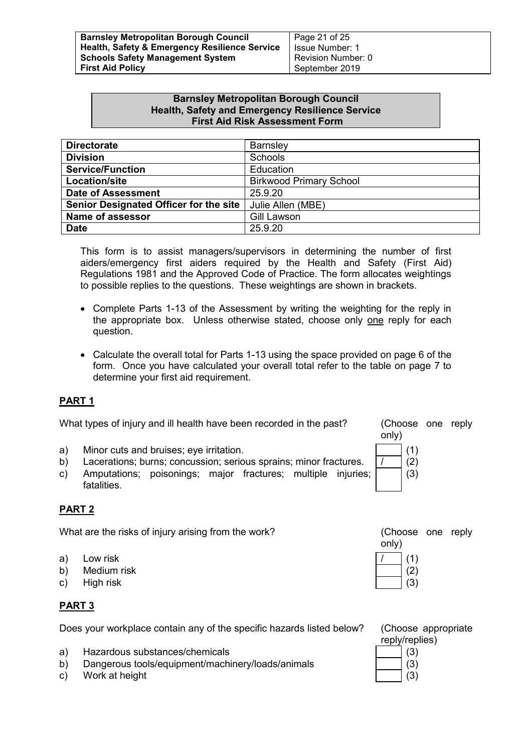| <b>Barnsley Metropolitan Borough Council</b>             | Page 21 of 25      |
|----------------------------------------------------------|--------------------|
| <b>Health, Safety &amp; Emergency Resilience Service</b> | Issue Number: 1    |
| <b>Schools Safety Management System</b>                  | Revision Number: 0 |
| <b>First Aid Policy</b>                                  | September 2019     |

#### **Barnsley Metropolitan Borough Council Health, Safety and Emergency Resilience Service First Aid Risk Assessment Form**

| <b>Directorate</b>                     | <b>Barnsley</b>                |
|----------------------------------------|--------------------------------|
| <b>Division</b>                        | <b>Schools</b>                 |
| <b>Service/Function</b>                | Education                      |
| <b>Location/site</b>                   | <b>Birkwood Primary School</b> |
| <b>Date of Assessment</b>              | 25.9.20                        |
| Senior Designated Officer for the site | Julie Allen (MBE)              |
| <b>Name of assessor</b>                | Gill Lawson                    |
| <b>Date</b>                            | 25.9.20                        |

This form is to assist managers/supervisors in determining the number of first aiders/emergency first aiders required by the Health and Safety (First Aid) Regulations 1981 and the Approved Code of Practice. The form allocates weightings to possible replies to the questions. These weightings are shown in brackets.

- Complete Parts 1-13 of the Assessment by writing the weighting for the reply in the appropriate box. Unless otherwise stated, choose only one reply for each question.
- Calculate the overall total for Parts 1-13 using the space provided on page 6 of the form. Once you have calculated your overall total refer to the table on page 7 to determine your first aid requirement.

#### **PART 1**

What types of injury and ill health have been recorded in the past? (Choose one reply

a) Minor cuts and bruises; eye irritation.  $(1)$ 

- b) Lacerations; burns; concussion; serious sprains; minor fractures.  $\vert / \vert (2)$
- c) Amputations; poisonings; major fractures; multiple injuries; fatalities.

#### **PART 2**

What are the risks of injury arising from the work? (Choose one reply

- a) Low risk  $\vert / \vert (1)$
- b) Medium risk  $(2)$
- c) High risk  $\vert$   $\vert$  (3)

#### **PART 3**

Does your workplace contain any of the specific hazards listed below? (Choose appropriate

- a) Hazardous substances/chemicals (3) (3)
- b) Dangerous tools/equipment/machinery/loads/animals (3)
- c) Work at height (3) Normal Contract of the studies of the studies of the studies of the studies of the studies of the studies of the studies of the studies of the studies of the studies of the studies of the studies of t

only) (3)



reply/replies)

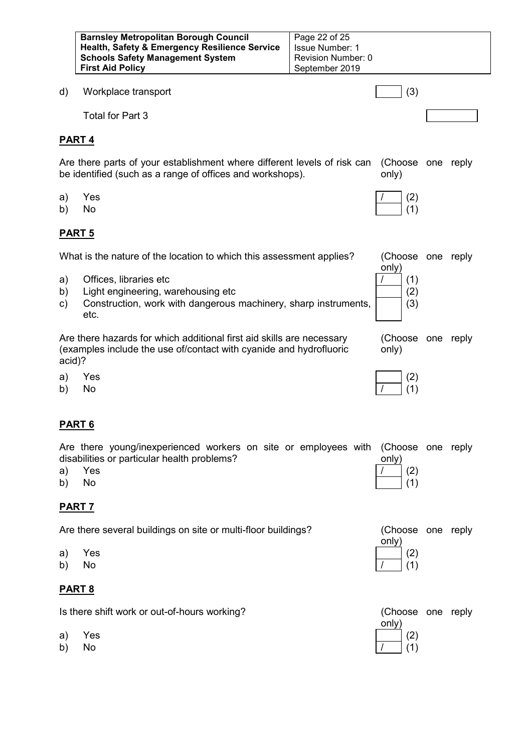| <b>Barnsley Metropolitan Borough Council</b>             | Page 22 of 25          |
|----------------------------------------------------------|------------------------|
| <b>Health, Safety &amp; Emergency Resilience Service</b> | <b>Issue Number: 1</b> |
| <b>Schools Safety Management System</b>                  | Revision Number: 0     |
| <b>First Aid Policy</b>                                  | September 2019         |

d) Workplace transport (3)

Total for Part 3

#### **PART 4**

Are there parts of your establishment where different levels of risk can be identified (such as a range of offices and workshops). (Choose one reply only)

- a) Yes  $\vert\vert\vert\vert\vert(2)$
- 

#### **PART 5**

What is the nature of the location to which this assessment applies? (Choose one reply

- a) Offices, libraries etc  $\vert / \vert (1)$
- b) Light engineering, warehousing etc (2)
- c) Construction, work with dangerous machinery, sharp instruments, etc.

Are there hazards for which additional first aid skills are necessary (examples include the use of/contact with cyanide and hydrofluoric acid)?

- 
- 

#### **PART 6**

Are there young/inexperienced workers on site or employees with (Choose one reply disabilities or particular health problems?  $\overline{\phantom{a}}$ 

- a) Yes  $\vert\vert\vert\vert\vert(2)$
- 

#### **PART 7**

Are there several buildings on site or multi-floor buildings? (Choose one reply

- 
- 

#### **PART 8**

Is there shift work or out-of-hours working? (Choose one reply



only)



(Choose one reply only)

|       | a) Yes | $\begin{array}{ c c }\hline \rule{0pt}{16pt} & (2) \\\hline \rule{0pt}{16pt} & (1) \\\hline \end{array}$ |  |
|-------|--------|----------------------------------------------------------------------------------------------------------|--|
| b) No |        |                                                                                                          |  |

| disabilities or particular riealth problems? | <b>OHIV</b> |
|----------------------------------------------|-------------|
| a) Yes                                       | (2)         |
| b) No                                        | (1)         |
| DADT 7                                       |             |



| Is there shift work or out-of-hours working? |        |  | (Choose one |
|----------------------------------------------|--------|--|-------------|
|                                              | a) Yes |  |             |
| b) No                                        |        |  |             |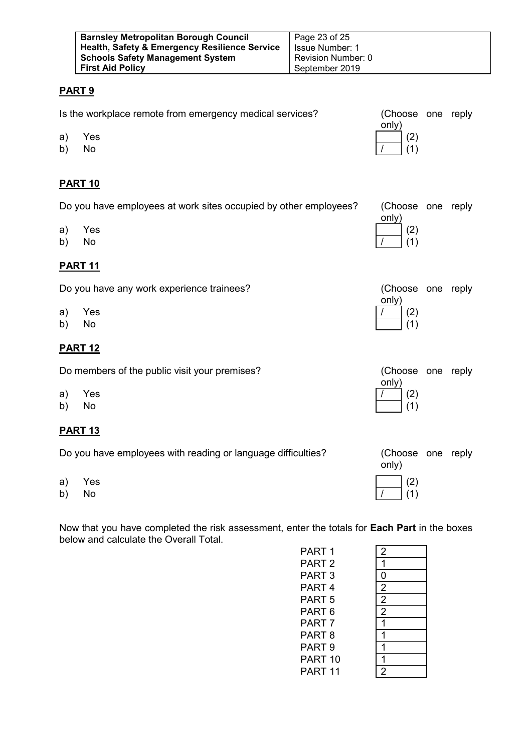| <b>Barnsley Metropolitan Borough Council</b>             | Page 23 of 25      |
|----------------------------------------------------------|--------------------|
| <b>Health, Safety &amp; Emergency Resilience Service</b> | Issue Number: 1    |
| <b>Schools Safety Management System</b>                  | Revision Number: 0 |
| <b>First Aid Policy</b>                                  | September 2019     |

#### **PART 9**

|          | Is the workplace remote from emergency medical services?         | (Choose one reply<br>only) |           |
|----------|------------------------------------------------------------------|----------------------------|-----------|
| a)<br>b) | Yes<br>No                                                        | (2)<br>(1)                 |           |
|          | <b>PART 10</b>                                                   |                            |           |
|          | Do you have employees at work sites occupied by other employees? | (Choose one reply          |           |
| a)<br>b) | Yes<br>No                                                        | only)<br>(2)<br>(1)        |           |
|          | <u>PART 11</u>                                                   |                            |           |
|          | Do you have any work experience trainees?                        | (Choose one reply          |           |
| a)<br>b) | Yes<br>No                                                        | only)<br>(2)<br>(1)        |           |
|          | <b>PART 12</b>                                                   |                            |           |
|          | Do members of the public visit your premises?                    | (Choose one reply          |           |
| a)<br>b) | Yes<br>No                                                        | only)<br>(2)<br>(1)        |           |
|          | <b>PART 13</b>                                                   |                            |           |
|          | Do you have employees with reading or language difficulties?     | (Choose<br>only)           | one reply |
| a)       | Yes                                                              | (2)                        |           |
| b)       | No                                                               | (1)                        |           |

Now that you have completed the risk assessment, enter the totals for **Each Part** in the boxes below and calculate the Overall Total.

| PART 1             | 2              |
|--------------------|----------------|
| PART 2             | 1              |
| PART 3             | 0              |
| PART 4             | $\overline{2}$ |
| PART 5             | $\overline{2}$ |
| PART 6             | $\overline{2}$ |
| PART <sub>7</sub>  | 1              |
| PART <sub>8</sub>  | 1              |
| PART <sub>9</sub>  | 1              |
| PART <sub>10</sub> |                |
| PART 11            | $\mathbf{c}$   |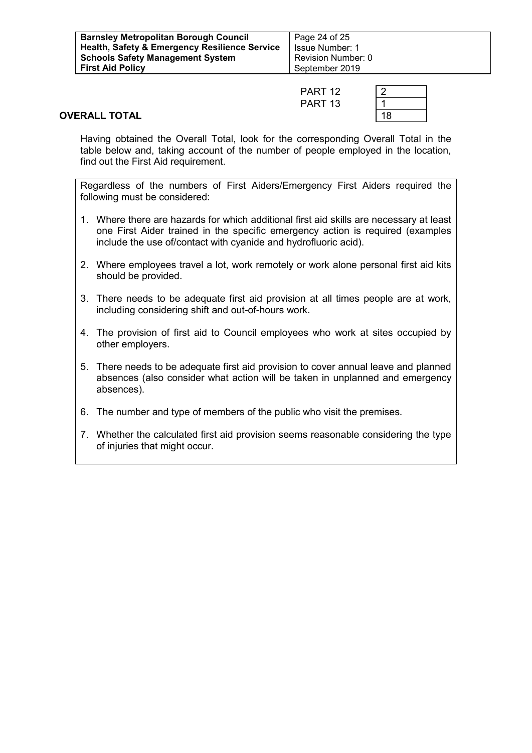| <b>Barnsley Metropolitan Borough Council</b>             | Page 24 of 25          |
|----------------------------------------------------------|------------------------|
| <b>Health, Safety &amp; Emergency Resilience Service</b> | <b>Issue Number: 1</b> |
| <b>Schools Safety Management System</b>                  | Revision Number: 0     |
| <b>First Aid Policy</b>                                  | September 2019         |

| PART 12            |    |
|--------------------|----|
| PART <sub>13</sub> |    |
|                    | 15 |

#### **OVERALL TOTAL**

Having obtained the Overall Total, look for the corresponding Overall Total in the table below and, taking account of the number of people employed in the location, find out the First Aid requirement.

Regardless of the numbers of First Aiders/Emergency First Aiders required the following must be considered:

- 1. Where there are hazards for which additional first aid skills are necessary at least one First Aider trained in the specific emergency action is required (examples include the use of/contact with cyanide and hydrofluoric acid).
- 2. Where employees travel a lot, work remotely or work alone personal first aid kits should be provided.
- 3. There needs to be adequate first aid provision at all times people are at work, including considering shift and out-of-hours work.
- 4. The provision of first aid to Council employees who work at sites occupied by other employers.
- 5. There needs to be adequate first aid provision to cover annual leave and planned absences (also consider what action will be taken in unplanned and emergency absences).
- 6. The number and type of members of the public who visit the premises.
- 7. Whether the calculated first aid provision seems reasonable considering the type of injuries that might occur.